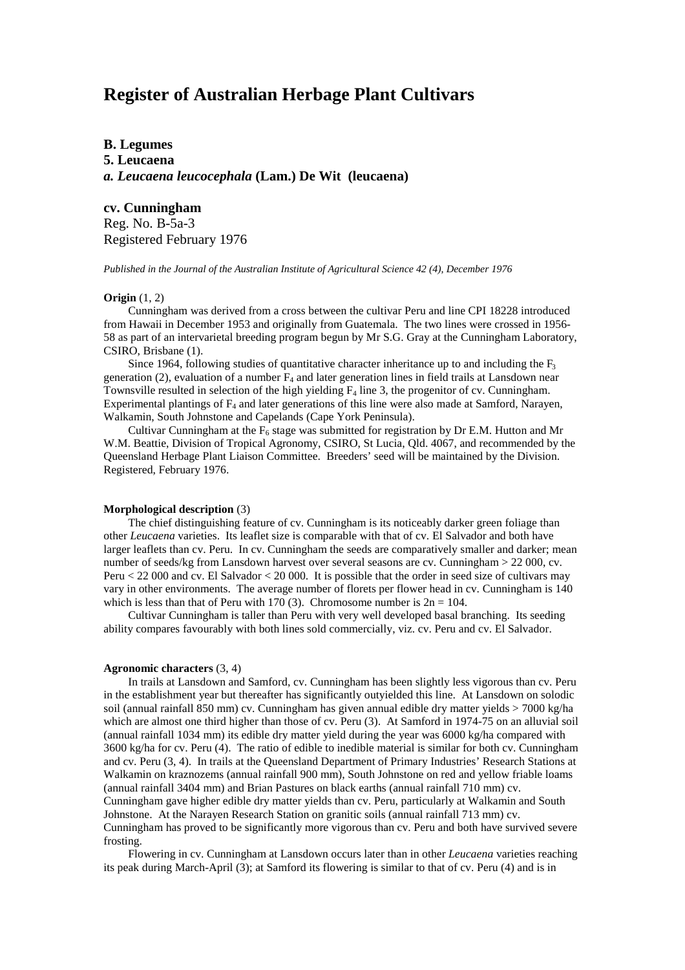# **Register of Australian Herbage Plant Cultivars**

### **B. Legumes**

**5. Leucaena** *a. Leucaena leucocephala* **(Lam.) De Wit (leucaena)**

## **cv. Cunningham**

Reg. No. B-5a-3 Registered February 1976

*Published in the Journal of the Australian Institute of Agricultural Science 42 (4), December 1976*

### **Origin** (1, 2)

Cunningham was derived from a cross between the cultivar Peru and line CPI 18228 introduced from Hawaii in December 1953 and originally from Guatemala. The two lines were crossed in 1956- 58 as part of an intervarietal breeding program begun by Mr S.G. Gray at the Cunningham Laboratory, CSIRO, Brisbane (1).

Since 1964, following studies of quantitative character inheritance up to and including the  $F_3$ generation (2), evaluation of a number  $F_4$  and later generation lines in field trails at Lansdown near Townsville resulted in selection of the high yielding  $F_4$  line 3, the progenitor of cv. Cunningham. Experimental plantings of  $F_4$  and later generations of this line were also made at Samford, Narayen, Walkamin, South Johnstone and Capelands (Cape York Peninsula).

Cultivar Cunningham at the  $F_6$  stage was submitted for registration by Dr E.M. Hutton and Mr W.M. Beattie, Division of Tropical Agronomy, CSIRO, St Lucia, Qld. 4067, and recommended by the Queensland Herbage Plant Liaison Committee. Breeders' seed will be maintained by the Division. Registered, February 1976.

#### **Morphological description** (3)

The chief distinguishing feature of cv. Cunningham is its noticeably darker green foliage than other *Leucaena* varieties. Its leaflet size is comparable with that of cv. El Salvador and both have larger leaflets than cv. Peru. In cv. Cunningham the seeds are comparatively smaller and darker; mean number of seeds/kg from Lansdown harvest over several seasons are cv. Cunningham > 22 000, cv. Peru < 22 000 and cv. El Salvador < 20 000. It is possible that the order in seed size of cultivars may vary in other environments. The average number of florets per flower head in cv. Cunningham is 140 which is less than that of Peru with 170 (3). Chromosome number is  $2n = 104$ .

Cultivar Cunningham is taller than Peru with very well developed basal branching. Its seeding ability compares favourably with both lines sold commercially, viz. cv. Peru and cv. El Salvador.

#### **Agronomic characters** (3, 4)

In trails at Lansdown and Samford, cv. Cunningham has been slightly less vigorous than cv. Peru in the establishment year but thereafter has significantly outyielded this line. At Lansdown on solodic soil (annual rainfall 850 mm) cv. Cunningham has given annual edible dry matter yields > 7000 kg/ha which are almost one third higher than those of cv. Peru (3). At Samford in 1974-75 on an alluvial soil (annual rainfall 1034 mm) its edible dry matter yield during the year was 6000 kg/ha compared with 3600 kg/ha for cv. Peru (4). The ratio of edible to inedible material is similar for both cv. Cunningham and cv. Peru (3, 4). In trails at the Queensland Department of Primary Industries' Research Stations at Walkamin on kraznozems (annual rainfall 900 mm), South Johnstone on red and yellow friable loams (annual rainfall 3404 mm) and Brian Pastures on black earths (annual rainfall 710 mm) cv. Cunningham gave higher edible dry matter yields than cv. Peru, particularly at Walkamin and South Johnstone. At the Narayen Research Station on granitic soils (annual rainfall 713 mm) cv. Cunningham has proved to be significantly more vigorous than cv. Peru and both have survived severe frosting.

Flowering in cv. Cunningham at Lansdown occurs later than in other *Leucaena* varieties reaching its peak during March-April (3); at Samford its flowering is similar to that of cv. Peru (4) and is in